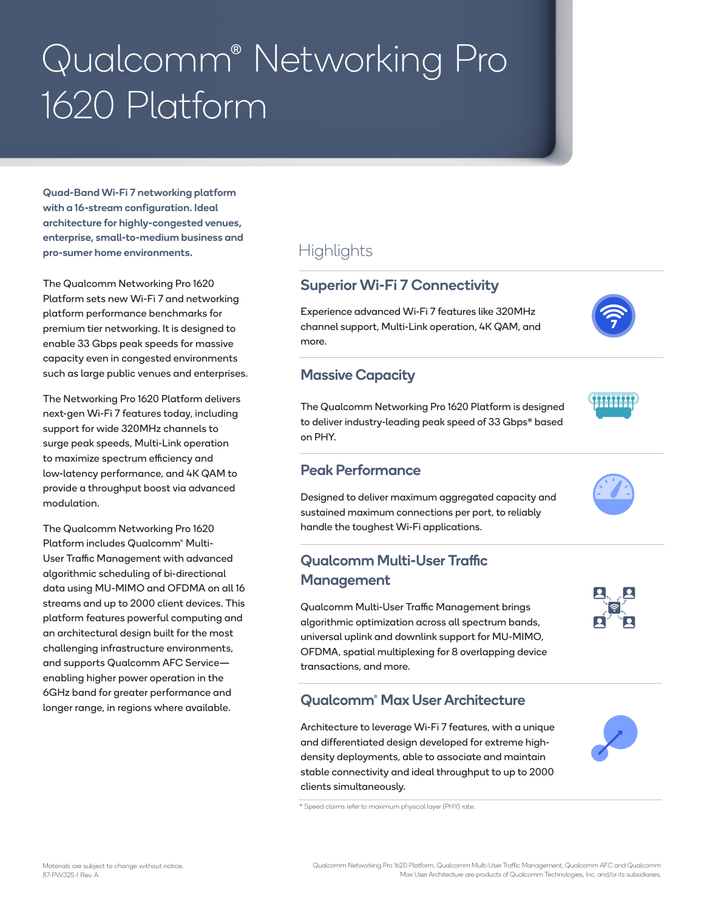# Qualcomm® Networking Pro 1620 Platform

Quad-Band Wi-Fi 7 networking platform with a 16-stream configuration. Ideal architecture for highly-congested venues, enterprise, small-to-medium business and pro-sumer home environments.

The Qualcomm Networking Pro 1620 Platform sets new Wi-Fi 7 and networking platform performance benchmarks for premium tier networking. It is designed to enable 33 Gbps peak speeds for massive capacity even in congested environments such as large public venues and enterprises.

The Networking Pro 1620 Platform delivers next-gen Wi-Fi 7 features today, including support for wide 320MHz channels to surge peak speeds, Multi-Link operation to maximize spectrum efficiency and low-latency performance, and 4K QAM to provide a throughput boost via advanced modulation.

The Qualcomm Networking Pro 1620 Platform includes Qualcomm® Multi-User Traffic Management with advanced algorithmic scheduling of bi-directional data using MU-MIMO and OFDMA on all 16 streams and up to 2000 client devices. This platform features powerful computing and an architectural design built for the most challenging infrastructure environments, and supports Qualcomm AFC Service enabling higher power operation in the 6GHz band for greater performance and longer range, in regions where available.

# **Highlights**

#### Superior Wi-Fi 7 Connectivity

Experience advanced Wi-Fi 7 features like 320MHz channel support, Multi-Link operation, 4K QAM, and more.

#### Massive Capacity

The Qualcomm Networking Pro 1620 Platform is designed to deliver industry-leading peak speed of 33 Gbps\* based on PHY.

#### Peak Performance

Designed to deliver maximum aggregated capacity and sustained maximum connections per port, to reliably handle the toughest Wi-Fi applications.

### Qualcomm Multi-User Traffic Management

Qualcomm Multi-User Traffic Management brings algorithmic optimization across all spectrum bands, universal uplink and downlink support for MU-MIMO, OFDMA, spatial multiplexing for 8 overlapping device transactions, and more.

#### Qualcomm® Max User Architecture

Architecture to leverage Wi-Fi 7 features, with a unique and differentiated design developed for extreme highdensity deployments, able to associate and maintain stable connectivity and ideal throughput to up to 2000 clients simultaneously.

\* Speed claims refer to maximum physical layer (PHY) rate.